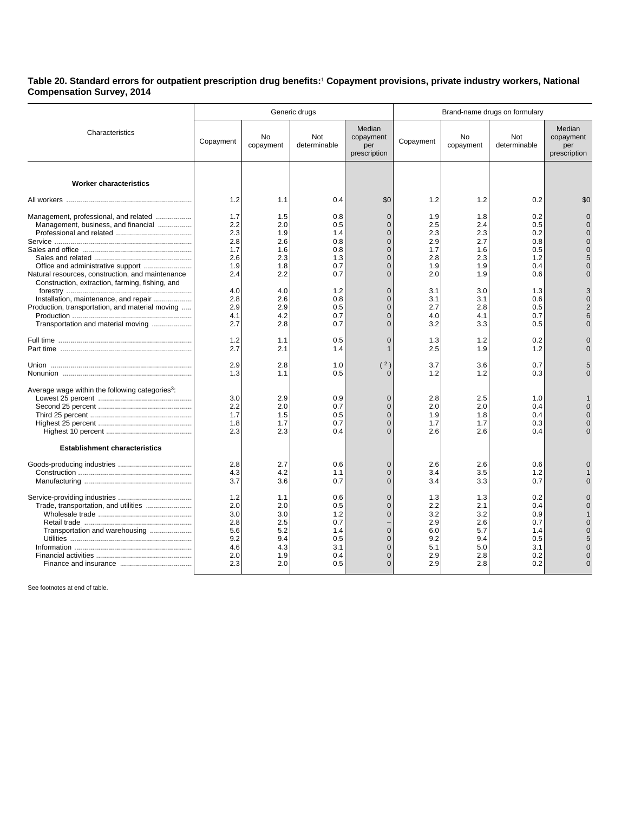**Table 20. Standard errors for outpatient prescription drug benefits:**<sup>1</sup>  **Copayment provisions, private industry workers, National Compensation Survey, 2014**

|                                                             |           |                        | Generic drugs       |                                            |           |                        |                     |                                            |
|-------------------------------------------------------------|-----------|------------------------|---------------------|--------------------------------------------|-----------|------------------------|---------------------|--------------------------------------------|
| Characteristics                                             | Copayment | <b>No</b><br>copayment | Not<br>determinable | Median<br>copayment<br>per<br>prescription | Copayment | <b>No</b><br>copayment | Not<br>determinable | Median<br>copayment<br>per<br>prescription |
|                                                             |           |                        |                     |                                            |           |                        |                     |                                            |
| <b>Worker characteristics</b>                               |           |                        |                     |                                            |           |                        |                     |                                            |
|                                                             | 1.2       | 1.1                    | 0.4                 | \$0                                        | 1.2       | 1.2                    | 0.2                 | \$0                                        |
| Management, professional, and related                       | 1.7       | 1.5                    | 0.8                 | $\overline{0}$                             | 1.9       | 1.8                    | 0.2                 |                                            |
| Management, business, and financial                         | 2.2       | 2.0                    | 0.5                 | $\overline{0}$                             | 2.5       | 2.4                    | 0.5                 |                                            |
|                                                             | 2.3       | 1.9                    | 1.4                 | $\Omega$                                   | 2.3       | 2.3                    | 0.2                 |                                            |
|                                                             | 2.8       | 2.6                    | 0.8                 | $\Omega$                                   | 2.9       | 2.7                    | 0.8                 |                                            |
|                                                             | 1.7       | 1.6                    | 0.8                 | $\Omega$                                   | 1.7       | 1.6                    | 0.5                 |                                            |
|                                                             | 2.6       | 2.3                    | 1.3                 | $\Omega$                                   | 2.8       | 2.3                    | 1.2                 |                                            |
|                                                             | 1.9       | 1.8                    | 0.7                 | $\overline{0}$                             | 1.9       | 1.9                    | 0.4                 |                                            |
| Natural resources, construction, and maintenance            | 2.4       | 2.2                    | 0.7                 | $\Omega$                                   | 2.0       | 1.9                    | 0.6                 |                                            |
| Construction, extraction, farming, fishing, and             |           |                        |                     |                                            |           |                        |                     |                                            |
|                                                             | 4.0       | 4.0                    | 1.2                 | $\overline{0}$                             | 3.1       | 3.0                    | 1.3                 |                                            |
| Installation, maintenance, and repair                       | 2.8       | 2.6                    | 0.8                 | $\Omega$                                   | 3.1       | 3.1                    | 0.6                 |                                            |
| Production, transportation, and material moving             | 2.9       | 2.9                    | 0.5                 | $\Omega$                                   | 2.7       | 2.8                    | 0.5                 |                                            |
|                                                             | 4.1       | 4.2                    | 0.7                 | $\Omega$                                   | 4.0       | 4.1                    | 0.7                 |                                            |
| Transportation and material moving                          | 2.7       | 2.8                    | 0.7                 | $\Omega$                                   | 3.2       | 3.3                    | 0.5                 |                                            |
|                                                             |           |                        |                     |                                            |           |                        |                     |                                            |
|                                                             | 1.2       | 1.1                    | 0.5                 | $\Omega$                                   | 1.3       | 1.2                    | 0.2                 |                                            |
|                                                             | 2.7       | 2.1                    | 1.4                 | $\mathbf{1}$                               | 2.5       | 1.9                    | 1.2                 |                                            |
|                                                             | 2.9       | 2.8                    | 1.0                 | (2)                                        | 3.7       | 3.6                    | 0.7                 |                                            |
|                                                             | 1.3       | 1.1                    | 0.5                 | U                                          | 1.2       | 1.2                    | 0.3                 |                                            |
|                                                             |           |                        |                     |                                            |           |                        |                     |                                            |
| Average wage within the following categories <sup>3</sup> : |           |                        |                     |                                            |           |                        |                     |                                            |
|                                                             | 3.0       | 2.9                    | 0.9                 | $\overline{0}$                             | 2.8       | 2.5                    | 1.0                 |                                            |
|                                                             | 2.2       | 2.0                    | 0.7                 | $\Omega$                                   | 2.0       | 2.0                    | 0.4                 |                                            |
|                                                             | 1.7       | 1.5                    | 0.5                 | $\overline{0}$                             | 1.9       | 1.8                    | 0.4                 |                                            |
|                                                             | 1.8       | 1.7                    | 0.7                 | $\Omega$                                   | 1.7       | 1.7                    | 0.3                 |                                            |
|                                                             | 2.3       | 2.3                    | 0.4                 | $\Omega$                                   | 2.6       | 2.6                    | 0.4                 |                                            |
| <b>Establishment characteristics</b>                        |           |                        |                     |                                            |           |                        |                     |                                            |
|                                                             |           |                        |                     |                                            |           |                        |                     |                                            |
|                                                             | 2.8       | 2.7                    | 0.6                 | $\Omega$                                   | 2.6       | 2.6                    | 0.6                 |                                            |
|                                                             | 4.3       | 4.2                    | 1.1                 | $\overline{0}$                             | 3.4       | 3.5                    | 1.2                 |                                            |
|                                                             | 3.7       | 3.6                    | 0.7                 | $\Omega$                                   | 3.4       | 3.3                    | 0.7                 |                                            |
|                                                             | 1.2       | 1.1                    | 0.6                 | $\overline{0}$                             | 1.3       | 1.3                    | 0.2                 |                                            |
| Trade, transportation, and utilities                        | 2.0       | 2.0                    | 0.5                 | $\Omega$                                   | 2.2       | 2.1                    | 0.4                 |                                            |
|                                                             | 3.0       | 3.0                    | 1.2                 | $\Omega$                                   | 3.2       | 3.2                    | 0.9                 |                                            |
|                                                             | 2.8       | 2.5                    | 0.7                 |                                            | 2.9       | 2.6                    | 0.7                 |                                            |
| Transportation and warehousing                              | 5.6       | 5.2                    | 1.4                 | $\overline{0}$                             | 6.0       | 5.7                    | 1.4                 |                                            |
|                                                             | 9.2       | 9.4                    | 0.5                 | $\Omega$                                   | 9.2       | 9.4                    | 0.5                 |                                            |
|                                                             | 4.6       | 4.3                    | 3.1                 | $\Omega$                                   | 5.1       | 5.0                    | 3.1                 |                                            |
|                                                             | 2.0       | 1.9                    | 0.4                 | $\overline{0}$                             | 2.9       | 2.8                    | 0.2                 |                                            |
|                                                             | 2.3       | 2.0                    | 0.5                 | $\Omega$                                   | 2.9       | 2.8                    | 0.2                 |                                            |
|                                                             |           |                        |                     |                                            |           |                        |                     |                                            |

See footnotes at end of table.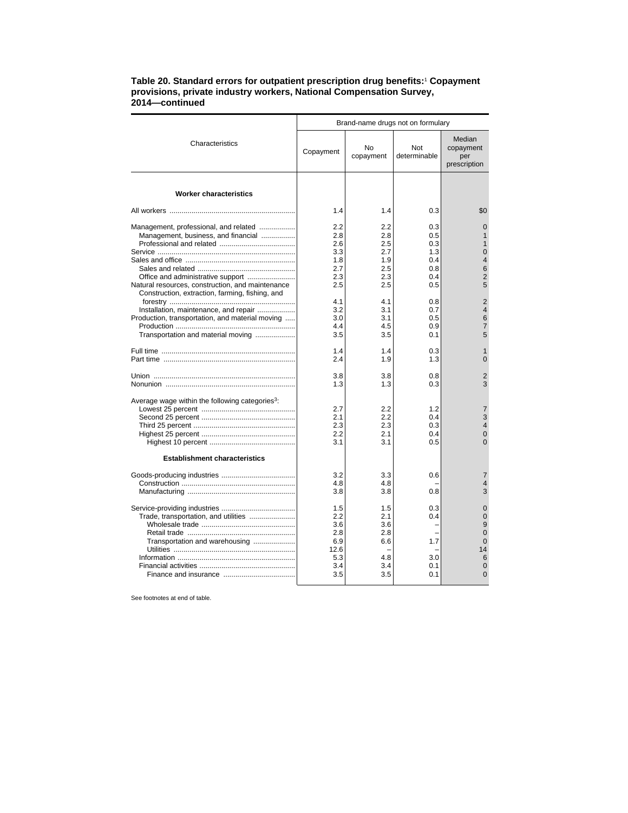## **Table 20. Standard errors for outpatient prescription drug benefits:**<sup>1</sup>  **Copayment provisions, private industry workers, National Compensation Survey, 2014—continued**

|                                                                                                                                          | Brand-name drugs not on formulary                            |                                                      |                                        |                                                                                      |  |
|------------------------------------------------------------------------------------------------------------------------------------------|--------------------------------------------------------------|------------------------------------------------------|----------------------------------------|--------------------------------------------------------------------------------------|--|
| Characteristics                                                                                                                          | Copayment                                                    | No<br>copayment                                      | Not<br>determinable                    | Median<br>copayment<br>per<br>prescription                                           |  |
| <b>Worker characteristics</b>                                                                                                            |                                                              |                                                      |                                        |                                                                                      |  |
|                                                                                                                                          | 1.4                                                          | 1.4                                                  | 0.3                                    | \$0                                                                                  |  |
| Management, professional, and related<br>Management, business, and financial                                                             | 2.2<br>2.8<br>2.6<br>3.3                                     | 2.2<br>2.8<br>$2.5\,$<br>2.7                         | 0.3<br>0.5<br>0.3<br>1.3               | $\Omega$<br>$\mathbf{1}$<br>$\overline{0}$                                           |  |
|                                                                                                                                          | 1.8<br>2.7                                                   | 1.9<br>$2.5\,$                                       | 0.4<br>0.8                             | $\overline{4}$<br>6                                                                  |  |
| Office and administrative support<br>Natural resources, construction, and maintenance<br>Construction, extraction, farming, fishing, and | 2.3<br>2.5                                                   | 2.3<br>2.5                                           | 0.4<br>0.5                             | $\overline{2}$<br>5                                                                  |  |
| Installation, maintenance, and repair<br>Production, transportation, and material moving<br>Transportation and material moving           | 4.1<br>3.2<br>3.0<br>4.4<br>3.5                              | 4.1<br>3.1<br>3.1<br>4.5<br>3.5                      | 0.8<br>0.7<br>0.5<br>0.9<br>0.1        | $\overline{2}$<br>$\overline{4}$<br>6<br>$\overline{7}$<br>5                         |  |
|                                                                                                                                          | 1.4<br>2.4                                                   | 1.4<br>1.9                                           | 0.3<br>1.3                             | 1<br>$\Omega$                                                                        |  |
|                                                                                                                                          | 3.8<br>1.3                                                   | 3.8<br>1.3                                           | 0.8<br>0.3                             | 2<br>3                                                                               |  |
| Average wage within the following categories <sup>3</sup> :<br><b>Establishment characteristics</b>                                      | 2.7<br>2.1<br>2.3<br>2.2<br>3.1                              | 2.2<br>2.2<br>2.3<br>2.1<br>3.1                      | 1.2<br>0.4<br>0.3<br>0.4<br>0.5        | $\overline{7}$<br>3<br>$\overline{4}$<br>$\Omega$<br>$\Omega$                        |  |
|                                                                                                                                          | 3.2<br>4.8<br>3.8                                            | 3.3<br>4.8<br>3.8                                    | 0.6<br>0.8                             | $\overline{7}$<br>4<br>3                                                             |  |
| Trade, transportation, and utilities<br>Transportation and warehousing                                                                   | 1.5<br>2.2<br>3.6<br>2.8<br>6.9<br>12.6<br>5.3<br>3.4<br>3.5 | 1.5<br>2.1<br>3.6<br>2.8<br>6.6<br>4.8<br>3.4<br>3.5 | 0.3<br>0.4<br>1.7<br>3.0<br>0.1<br>0.1 | $\Omega$<br>$\Omega$<br>9<br>$\Omega$<br>$\Omega$<br>14<br>6<br>$\Omega$<br>$\Omega$ |  |

See footnotes at end of table.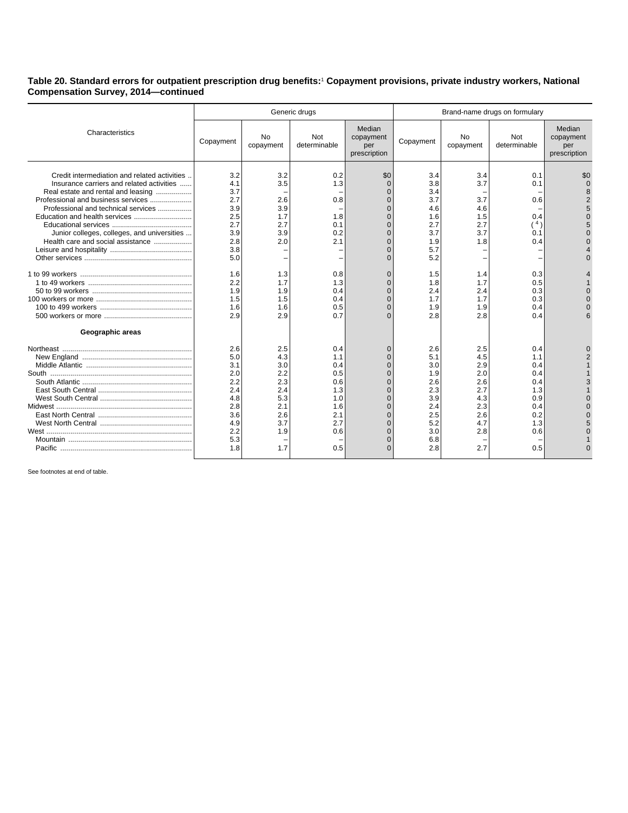**Table 20. Standard errors for outpatient prescription drug benefits:**<sup>1</sup>  **Copayment provisions, private industry workers, National Compensation Survey, 2014—continued**

|                                                                                                                                                                                                                                                                                                                                    | Generic drugs                                                                           |                                                                                  |                                                                                  |                                                                                                                                                   | Brand-name drugs on formulary                                                           |                                                                                  |                                                                                  |                                            |
|------------------------------------------------------------------------------------------------------------------------------------------------------------------------------------------------------------------------------------------------------------------------------------------------------------------------------------|-----------------------------------------------------------------------------------------|----------------------------------------------------------------------------------|----------------------------------------------------------------------------------|---------------------------------------------------------------------------------------------------------------------------------------------------|-----------------------------------------------------------------------------------------|----------------------------------------------------------------------------------|----------------------------------------------------------------------------------|--------------------------------------------|
| Characteristics                                                                                                                                                                                                                                                                                                                    | Copayment                                                                               | <b>No</b><br>copayment                                                           | Not<br>determinable                                                              | Median<br>copayment<br>per<br>prescription                                                                                                        | Copayment                                                                               | No<br>copayment                                                                  | Not<br>determinable                                                              | Median<br>copayment<br>per<br>prescription |
| Credit intermediation and related activities.<br>Insurance carriers and related activities<br>Real estate and rental and leasing<br>Professional and business services<br>Professional and technical services<br>Education and health services<br>Junior colleges, colleges, and universities<br>Health care and social assistance | 3.2<br>4.1<br>3.7<br>2.7<br>3.9<br>2.5<br>2.7<br>3.9<br>2.8<br>3.8<br>5.0               | 3.2<br>3.5<br>2.6<br>3.9<br>1.7<br>2.7<br>3.9<br>2.0                             | 0.2<br>1.3<br>0.8<br>1.8<br>0.1<br>0.2<br>2.1                                    | \$0<br>$\Omega$<br>$\Omega$<br>$\Omega$<br>$\Omega$<br>$\Omega$<br>$\Omega$<br>$\Omega$<br>$\Omega$<br>$\Omega$<br>$\Omega$                       | 3.4<br>3.8<br>3.4<br>3.7<br>4.6<br>1.6<br>2.7<br>3.7<br>1.9<br>5.7<br>5.2               | 3.4<br>3.7<br>3.7<br>4.6<br>1.5<br>2.7<br>3.7<br>1.8                             | 0.1<br>0.1<br>0.6<br>0.4<br>(4)<br>0.1<br>0.4                                    | \$C                                        |
| Geographic areas                                                                                                                                                                                                                                                                                                                   | 1.6<br>2.2<br>1.9<br>1.5<br>1.6<br>2.9                                                  | 1.3<br>1.7<br>1.9<br>1.5<br>1.6<br>2.9                                           | 0.8<br>1.3<br>0.4<br>0.4<br>0.5<br>0.7                                           | $\Omega$<br>$\Omega$<br>$\Omega$<br>$\Omega$<br>$\Omega$<br>$\Omega$                                                                              | 1.5<br>1.8<br>2.4<br>1.7<br>1.9<br>2.8                                                  | 1.4<br>1.7<br>2.4<br>1.7<br>1.9<br>2.8                                           | 0.3<br>0.5<br>0.3<br>0.3<br>0.4<br>0.4                                           |                                            |
|                                                                                                                                                                                                                                                                                                                                    | 2.6<br>5.0<br>3.1<br>2.0<br>2.2<br>2.4<br>4.8<br>2.8<br>3.6<br>4.9<br>2.2<br>5.3<br>1.8 | 2.5<br>4.3<br>3.0<br>2.2<br>2.3<br>2.4<br>5.3<br>2.1<br>2.6<br>3.7<br>1.9<br>1.7 | 0.4<br>1.1<br>0.4<br>0.5<br>0.6<br>1.3<br>1.0<br>1.6<br>2.1<br>2.7<br>0.6<br>0.5 | O<br>$\Omega$<br>$\Omega$<br>$\Omega$<br>$\Omega$<br>$\Omega$<br>$\Omega$<br>$\Omega$<br>$\Omega$<br>$\Omega$<br>$\Omega$<br>$\Omega$<br>$\Omega$ | 2.6<br>5.1<br>3.0<br>1.9<br>2.6<br>2.3<br>3.9<br>2.4<br>2.5<br>5.2<br>3.0<br>6.8<br>2.8 | 2.5<br>4.5<br>2.9<br>2.0<br>2.6<br>2.7<br>4.3<br>2.3<br>2.6<br>4.7<br>2.8<br>2.7 | 0.4<br>1.1<br>0.4<br>0.4<br>0.4<br>1.3<br>0.9<br>0.4<br>0.2<br>1.3<br>0.6<br>0.5 |                                            |

See footnotes at end of table.